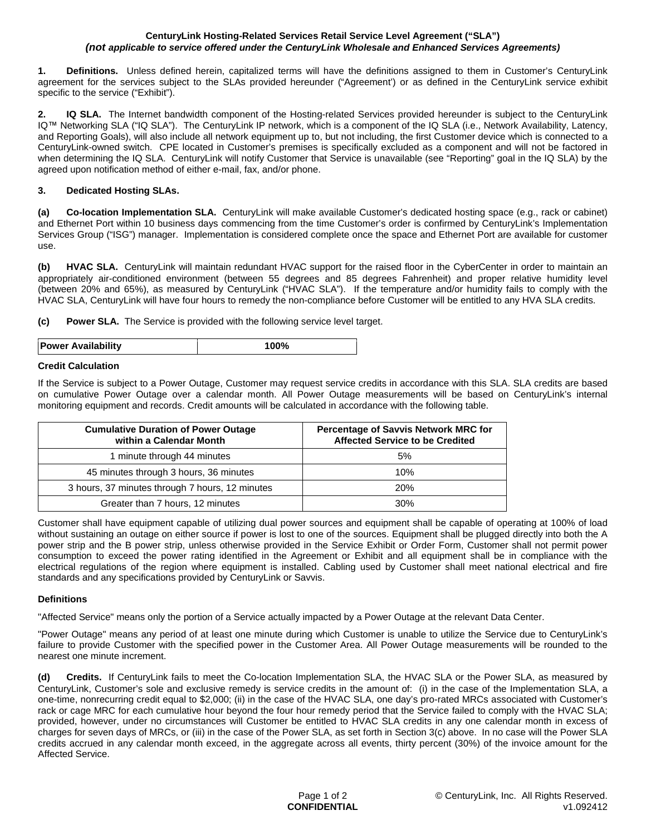#### **CenturyLink Hosting-Related Services Retail Service Level Agreement ("SLA")** *(not applicable to service offered under the CenturyLink Wholesale and Enhanced Services Agreements)*

**1. Definitions.** Unless defined herein, capitalized terms will have the definitions assigned to them in Customer's CenturyLink agreement for the services subject to the SLAs provided hereunder ("Agreement') or as defined in the CenturyLink service exhibit specific to the service ("Exhibit").

**2. IQ SLA.** The Internet bandwidth component of the Hosting-related Services provided hereunder is subject to the CenturyLink IQ™ Networking SLA ("IQ SLA"). The CenturyLink IP network, which is a component of the IQ SLA (i.e., Network Availability, Latency, and Reporting Goals), will also include all network equipment up to, but not including, the first Customer device which is connected to a CenturyLink-owned switch. CPE located in Customer's premises is specifically excluded as a component and will not be factored in when determining the IQ SLA. CenturyLink will notify Customer that Service is unavailable (see "Reporting" goal in the IQ SLA) by the agreed upon notification method of either e-mail, fax, and/or phone.

# **3. Dedicated Hosting SLAs.**

**(a) Co-location Implementation SLA.** CenturyLink will make available Customer's dedicated hosting space (e.g., rack or cabinet) and Ethernet Port within 10 business days commencing from the time Customer's order is confirmed by CenturyLink's Implementation Services Group ("ISG") manager. Implementation is considered complete once the space and Ethernet Port are available for customer use.

**(b) HVAC SLA.** CenturyLink will maintain redundant HVAC support for the raised floor in the CyberCenter in order to maintain an appropriately air-conditioned environment (between 55 degrees and 85 degrees Fahrenheit) and proper relative humidity level (between 20% and 65%), as measured by CenturyLink ("HVAC SLA"). If the temperature and/or humidity fails to comply with the HVAC SLA, CenturyLink will have four hours to remedy the non-compliance before Customer will be entitled to any HVA SLA credits.

**(c) Power SLA.** The Service is provided with the following service level target.

| <b>Power Availability</b> |  |
|---------------------------|--|
|                           |  |

## **Credit Calculation**

If the Service is subject to a Power Outage, Customer may request service credits in accordance with this SLA. SLA credits are based on cumulative Power Outage over a calendar month. All Power Outage measurements will be based on CenturyLink's internal monitoring equipment and records. Credit amounts will be calculated in accordance with the following table.

| <b>Cumulative Duration of Power Outage</b><br>within a Calendar Month | <b>Percentage of Savvis Network MRC for</b><br><b>Affected Service to be Credited</b> |  |
|-----------------------------------------------------------------------|---------------------------------------------------------------------------------------|--|
| 1 minute through 44 minutes                                           | 5%                                                                                    |  |
| 45 minutes through 3 hours, 36 minutes                                | 10%                                                                                   |  |
| 3 hours, 37 minutes through 7 hours, 12 minutes                       | <b>20%</b>                                                                            |  |
| Greater than 7 hours, 12 minutes                                      | 30%                                                                                   |  |

Customer shall have equipment capable of utilizing dual power sources and equipment shall be capable of operating at 100% of load without sustaining an outage on either source if power is lost to one of the sources. Equipment shall be plugged directly into both the A power strip and the B power strip, unless otherwise provided in the Service Exhibit or Order Form, Customer shall not permit power consumption to exceed the power rating identified in the Agreement or Exhibit and all equipment shall be in compliance with the electrical regulations of the region where equipment is installed. Cabling used by Customer shall meet national electrical and fire standards and any specifications provided by CenturyLink or Savvis.

## **Definitions**

"Affected Service" means only the portion of a Service actually impacted by a Power Outage at the relevant Data Center.

"Power Outage" means any period of at least one minute during which Customer is unable to utilize the Service due to CenturyLink's failure to provide Customer with the specified power in the Customer Area. All Power Outage measurements will be rounded to the nearest one minute increment.

**(d) Credits.** If CenturyLink fails to meet the Co-location Implementation SLA, the HVAC SLA or the Power SLA, as measured by CenturyLink, Customer's sole and exclusive remedy is service credits in the amount of: (i) in the case of the Implementation SLA, a one-time, nonrecurring credit equal to \$2,000; (ii) in the case of the HVAC SLA, one day's pro-rated MRCs associated with Customer's rack or cage MRC for each cumulative hour beyond the four hour remedy period that the Service failed to comply with the HVAC SLA; provided, however, under no circumstances will Customer be entitled to HVAC SLA credits in any one calendar month in excess of charges for seven days of MRCs, or (iii) in the case of the Power SLA, as set forth in Section 3(c) above. In no case will the Power SLA credits accrued in any calendar month exceed, in the aggregate across all events, thirty percent (30%) of the invoice amount for the Affected Service.